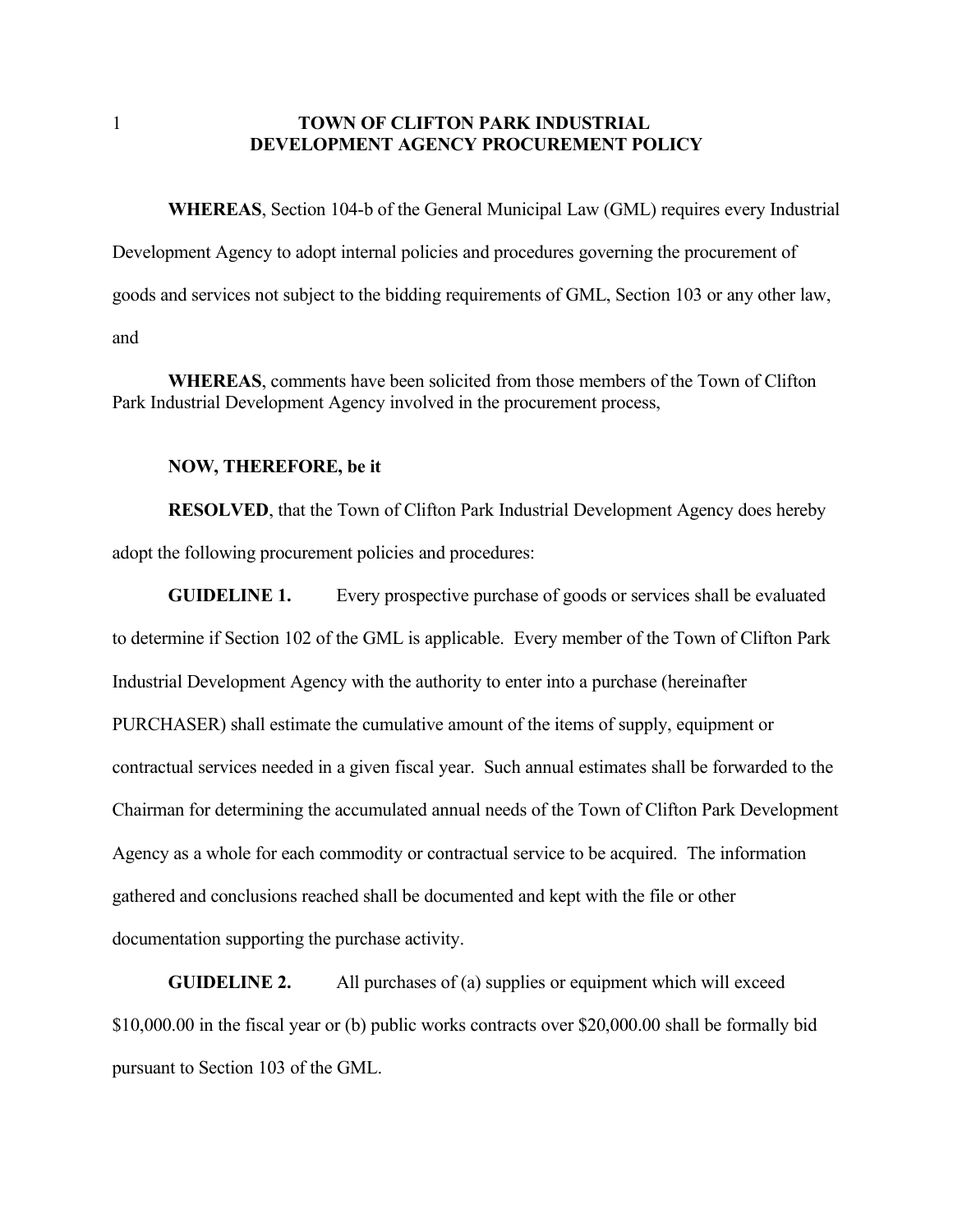## 1 **TOWN OF CLIFTON PARK INDUSTRIAL DEVELOPMENT AGENCY PROCUREMENT POLICY**

**WHEREAS**, Section 104-b of the General Municipal Law (GML) requires every Industrial Development Agency to adopt internal policies and procedures governing the procurement of goods and services not subject to the bidding requirements of GML, Section 103 or any other law, and

**WHEREAS**, comments have been solicited from those members of the Town of Clifton Park Industrial Development Agency involved in the procurement process,

## **NOW, THEREFORE, be it**

**RESOLVED**, that the Town of Clifton Park Industrial Development Agency does hereby adopt the following procurement policies and procedures:

**GUIDELINE 1.** Every prospective purchase of goods or services shall be evaluated to determine if Section 102 of the GML is applicable. Every member of the Town of Clifton Park Industrial Development Agency with the authority to enter into a purchase (hereinafter PURCHASER) shall estimate the cumulative amount of the items of supply, equipment or contractual services needed in a given fiscal year. Such annual estimates shall be forwarded to the Chairman for determining the accumulated annual needs of the Town of Clifton Park Development Agency as a whole for each commodity or contractual service to be acquired. The information gathered and conclusions reached shall be documented and kept with the file or other documentation supporting the purchase activity.

**GUIDELINE 2.** All purchases of (a) supplies or equipment which will exceed \$10,000.00 in the fiscal year or (b) public works contracts over \$20,000.00 shall be formally bid pursuant to Section 103 of the GML.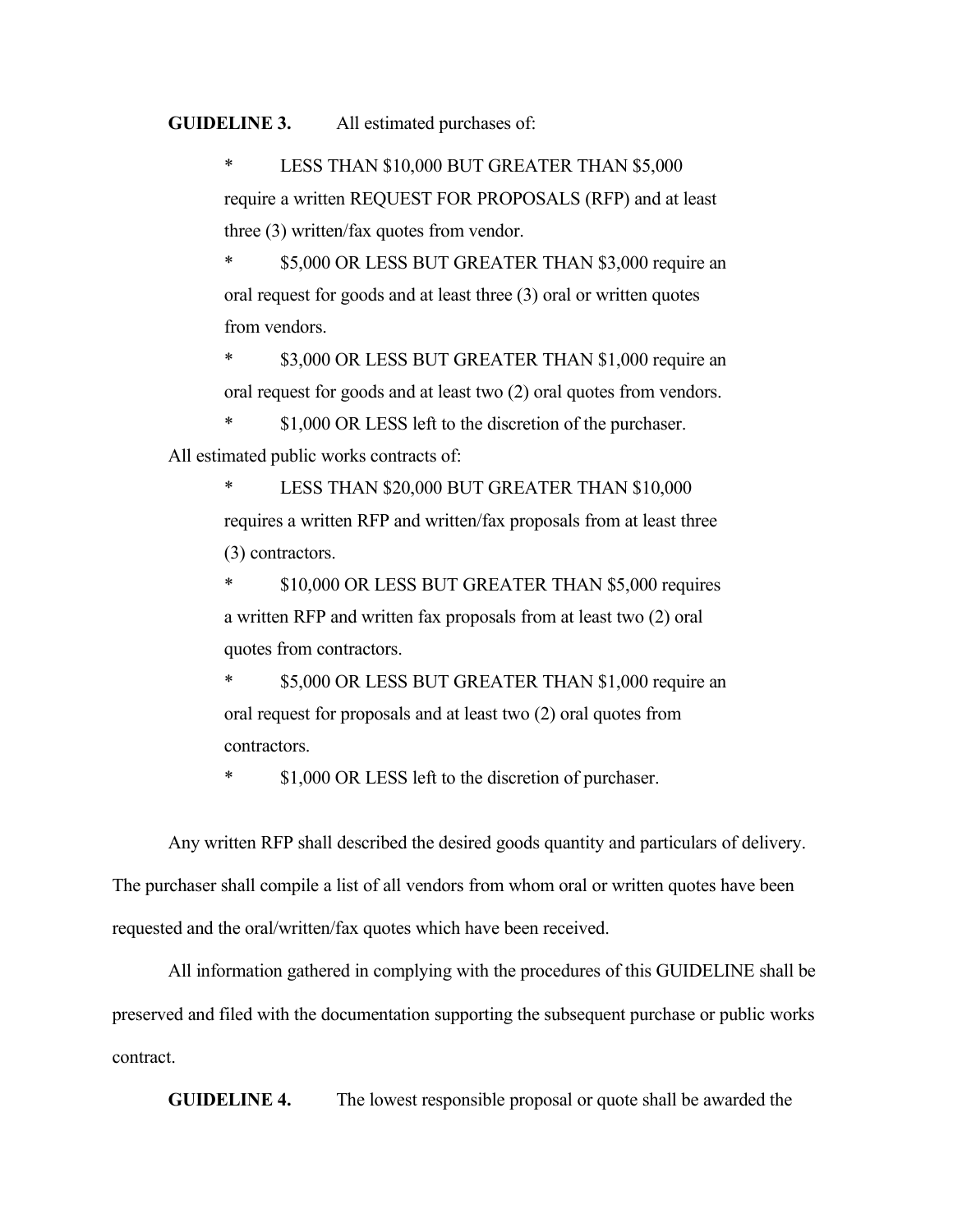## **GUIDELINE 3.** All estimated purchases of:

\* LESS THAN \$10,000 BUT GREATER THAN \$5,000 require a written REQUEST FOR PROPOSALS (RFP) and at least three (3) written/fax quotes from vendor.

\$5,000 OR LESS BUT GREATER THAN \$3,000 require an oral request for goods and at least three (3) oral or written quotes from vendors.

\* \$3,000 OR LESS BUT GREATER THAN \$1,000 require an oral request for goods and at least two (2) oral quotes from vendors.

\$1,000 OR LESS left to the discretion of the purchaser. All estimated public works contracts of:

> LESS THAN \$20,000 BUT GREATER THAN \$10,000 requires a written RFP and written/fax proposals from at least three (3) contractors.

> \$10,000 OR LESS BUT GREATER THAN \$5,000 requires a written RFP and written fax proposals from at least two (2) oral quotes from contractors.

\$5,000 OR LESS BUT GREATER THAN \$1,000 require an oral request for proposals and at least two (2) oral quotes from contractors.

\* \$1,000 OR LESS left to the discretion of purchaser.

Any written RFP shall described the desired goods quantity and particulars of delivery.

The purchaser shall compile a list of all vendors from whom oral or written quotes have been requested and the oral/written/fax quotes which have been received.

All information gathered in complying with the procedures of this GUIDELINE shall be preserved and filed with the documentation supporting the subsequent purchase or public works contract.

**GUIDELINE 4.** The lowest responsible proposal or quote shall be awarded the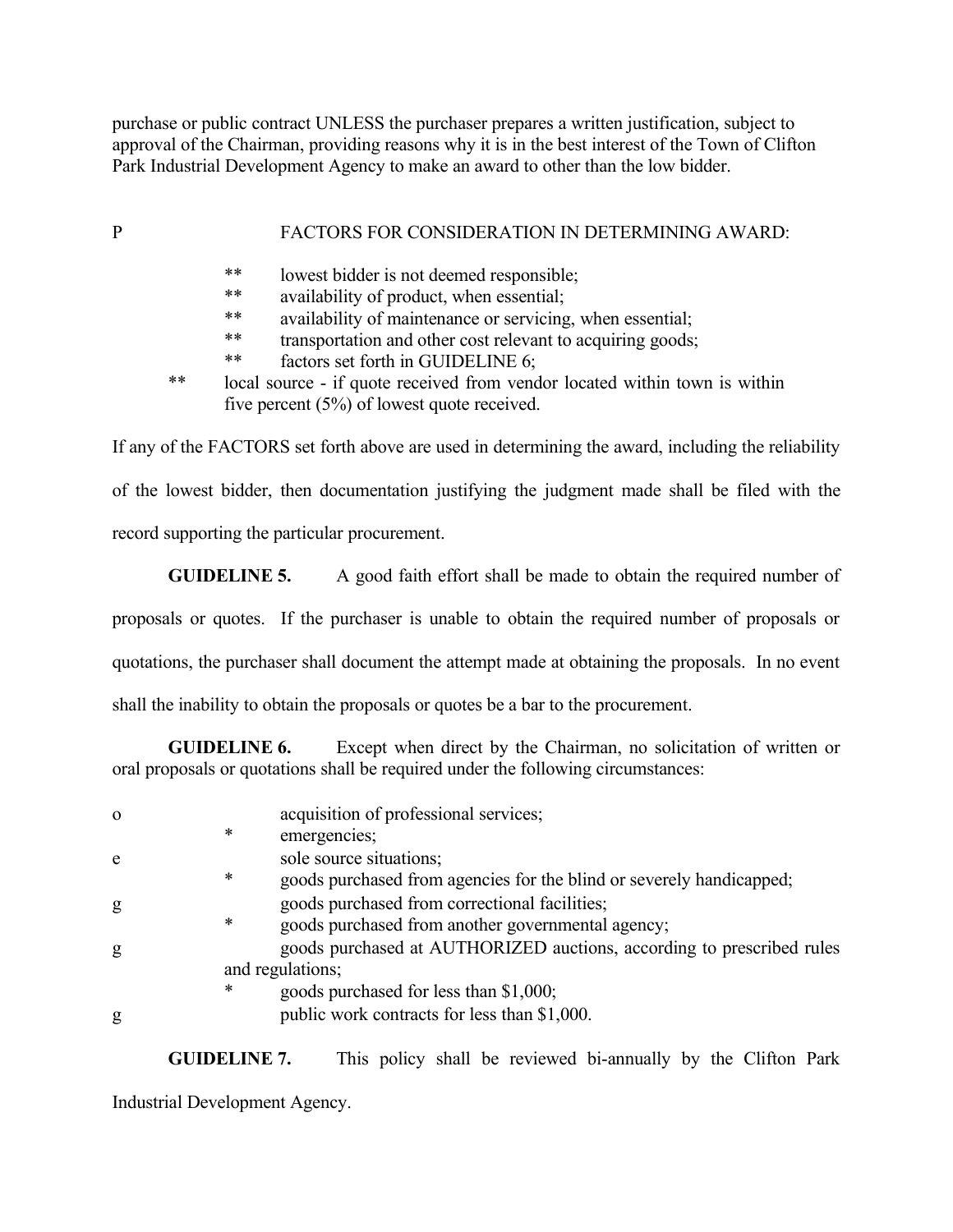purchase or public contract UNLESS the purchaser prepares a written justification, subject to approval of the Chairman, providing reasons why it is in the best interest of the Town of Clifton Park Industrial Development Agency to make an award to other than the low bidder.

## P FACTORS FOR CONSIDERATION IN DETERMINING AWARD:

- \*\* lowest bidder is not deemed responsible;
- \*\* availability of product, when essential;
- \*\* availability of maintenance or servicing, when essential;
- \*\* transportation and other cost relevant to acquiring goods;
- \*\* factors set forth in GUIDELINE 6;
- \*\* local source if quote received from vendor located within town is within five percent (5%) of lowest quote received.

If any of the FACTORS set forth above are used in determining the award, including the reliability

of the lowest bidder, then documentation justifying the judgment made shall be filed with the

record supporting the particular procurement.

**GUIDELINE 5.** A good faith effort shall be made to obtain the required number of

proposals or quotes. If the purchaser is unable to obtain the required number of proposals or

quotations, the purchaser shall document the attempt made at obtaining the proposals. In no event

shall the inability to obtain the proposals or quotes be a bar to the procurement.

**GUIDELINE 6.** Except when direct by the Chairman, no solicitation of written or oral proposals or quotations shall be required under the following circumstances:

| $\Omega$ |   | acquisition of professional services;                                 |
|----------|---|-----------------------------------------------------------------------|
|          | * | emergencies;                                                          |
| e        |   | sole source situations;                                               |
|          | * | goods purchased from agencies for the blind or severely handicapped;  |
| g        |   | goods purchased from correctional facilities;                         |
|          | * | goods purchased from another governmental agency;                     |
| g        |   | goods purchased at AUTHORIZED auctions, according to prescribed rules |
|          |   | and regulations;                                                      |
|          | * | goods purchased for less than \$1,000;                                |
| g        |   | public work contracts for less than \$1,000.                          |

**GUIDELINE 7.** This policy shall be reviewed bi-annually by the Clifton Park

Industrial Development Agency.